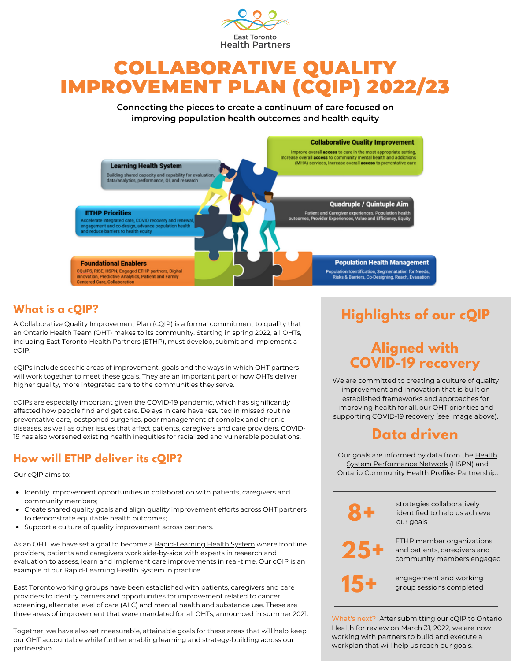

# COLLABORATIVE QUALITY IMPROVEMENT PLAN (CQIP) 2022/23

**Connecting the pieces to create a continuum of care focused on improving population health outcomes and health equity**



### **What is a cQIP?**

A Collaborative Quality Improvement Plan (cQIP) is a formal commitment to quality that an Ontario Health Team (OHT) makes to its community. Starting in spring 2022, all OHTs, including East Toronto Health Partners (ETHP), must develop, submit and implement a cQIP.

cQIPs include specific areas of improvement, goals and the ways in which OHT partners will work together to meet these goals. They are an important part of how OHTs deliver higher quality, more integrated care to the communities they serve.

cQIPs are especially important given the COVID-19 pandemic, which has significantly affected how people find and get care. Delays in care have resulted in missed routine preventative care, postponed surgeries, poor management of complex and chronic diseases, as well as other issues that affect patients, caregivers and care providers. COVID-19 has also worsened existing health inequities for racialized and vulnerable populations.

### **How will ETHP deliver its cQIP?**

Our cQIP aims to:

- Identify improvement opportunities in collaboration with patients, caregivers and community members;
- Create shared quality goals and align quality improvement efforts across OHT partners to demonstrate equitable health outcomes;
- Support a culture of quality improvement across partners.

As an OHT, we have set a goal to become a [Rapid-Learning](https://macsphere.mcmaster.ca/bitstream/11375/23791/1/Creating%20a%20Rapid-learning%20Health%20System%20in%20Ontario.pdf) Health System where frontline providers, patients and caregivers work side-by-side with experts in research and evaluation to assess, learn and implement care improvements in real-time. Our cQIP is an example of our Rapid-Learning Health System in practice.

East Toronto working groups have been established with patients, caregivers and care providers to identify barriers and opportunities for improvement related to cancer screening, alternate level of care (ALC) and mental health and substance use. These are three areas of improvement that were mandated for all OHTs, announced in summer 2021.

Together, we have also set measurable, attainable goals for these areas that will help keep our OHT accountable while further enabling learning and strategy-building across our partnership.

# **Highlights of our cQIP**

## **Aligned with COVID-19 recovery**

We are committed to creating a culture of quality improvement and innovation that is built on established frameworks and approaches for improving health for all, our OHT priorities and supporting COVID-19 recovery (see image above).

## **Data driven**

Our goals are informed by data from the [Health](https://hspn.ca/) System [Performance](https://hspn.ca/) Network (HSPN) and Ontario [Community](http://www.ontariohealthprofiles.ca/) Health Profiles Partnership.

**8+**

strategies collaboratively identified to help us achieve our goals



ETHP member organizations and patients, caregivers and

community members engaged

engagement and working **15+** group sessions completed

What's next? After submitting our cQIP to Ontario Health for review on March 31, 2022, we are now working with partners to build and execute a workplan that will help us reach our goals.